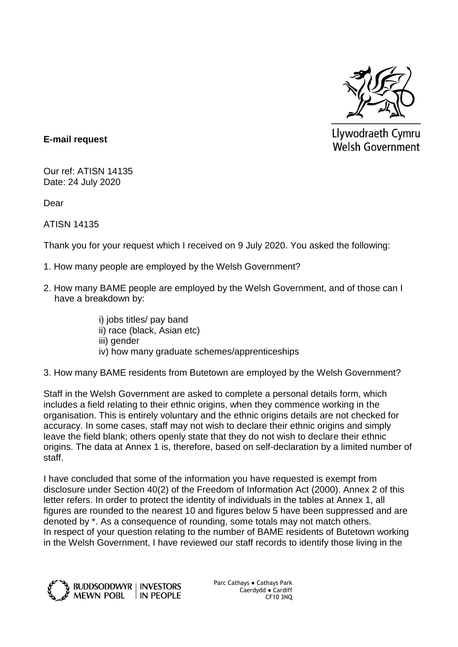

Llywodraeth Cymru **Welsh Government** 

### **E-mail request**

Our ref: ATISN 14135 Date: 24 July 2020

Dear

ATISN 14135

Thank you for your request which I received on 9 July 2020. You asked the following:

- 1. How many people are employed by the Welsh Government?
- 2. How many BAME people are employed by the Welsh Government, and of those can I have a breakdown by:
	- i) jobs titles/ pay band ii) race (black, Asian etc)
	- iii) gender
	- iv) how many graduate schemes/apprenticeships
- 3. How many BAME residents from Butetown are employed by the Welsh Government?

Staff in the Welsh Government are asked to complete a personal details form, which includes a field relating to their ethnic origins, when they commence working in the organisation. This is entirely voluntary and the ethnic origins details are not checked for accuracy. In some cases, staff may not wish to declare their ethnic origins and simply leave the field blank; others openly state that they do not wish to declare their ethnic origins. The data at Annex 1 is, therefore, based on self-declaration by a limited number of staff.

I have concluded that some of the information you have requested is exempt from disclosure under Section 40(2) of the Freedom of Information Act (2000). Annex 2 of this letter refers. In order to protect the identity of individuals in the tables at Annex 1, all figures are rounded to the nearest 10 and figures below 5 have been suppressed and are denoted by \*. As a consequence of rounding, some totals may not match others. In respect of your question relating to the number of BAME residents of Butetown working in the Welsh Government, I have reviewed our staff records to identify those living in the



Parc Cathays ● Cathays Park Caerdydd ● Cardiff CF10 3NQ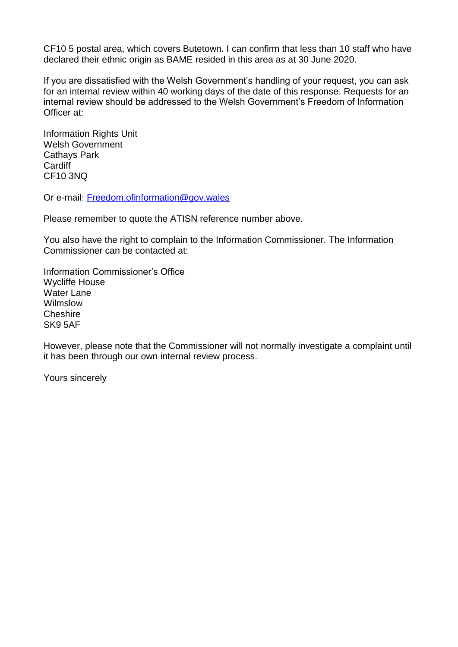CF10 5 postal area, which covers Butetown. I can confirm that less than 10 staff who have declared their ethnic origin as BAME resided in this area as at 30 June 2020.

If you are dissatisfied with the Welsh Government's handling of your request, you can ask for an internal review within 40 working days of the date of this response. Requests for an internal review should be addressed to the Welsh Government's Freedom of Information Officer at:

Information Rights Unit Welsh Government Cathays Park **Cardiff** CF10 3NQ

Or e-mail: [Freedom.ofinformation@gov.wales](mailto:Freedom.ofinformation@gov.wales)

Please remember to quote the ATISN reference number above.

You also have the right to complain to the Information Commissioner. The Information Commissioner can be contacted at:

Information Commissioner's Office Wycliffe House Water Lane Wilmslow **Cheshire** SK9 5AF

However, please note that the Commissioner will not normally investigate a complaint until it has been through our own internal review process.

Yours sincerely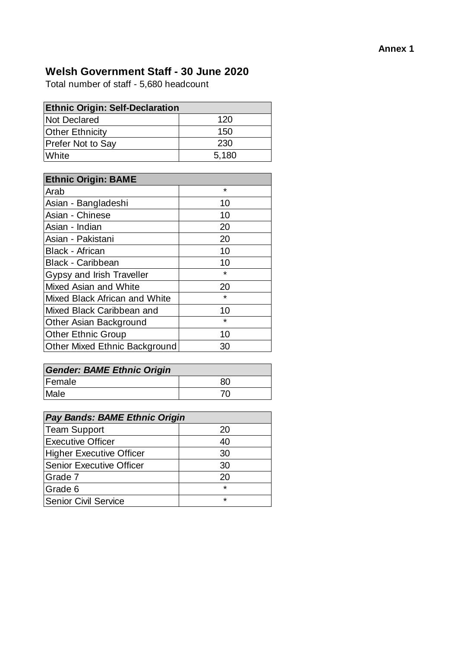# **Welsh Government Staff - 30 June 2020**

Total number of staff - 5,680 headcount

| <b>Ethnic Origin: Self-Declaration</b> |       |
|----------------------------------------|-------|
| <b>Not Declared</b>                    | 120   |
| <b>Other Ethnicity</b>                 | 150   |
| <b>Prefer Not to Say</b>               | 230   |
| White                                  | 5,180 |

| <b>Ethnic Origin: BAME</b>           |         |
|--------------------------------------|---------|
| Arab                                 | $\star$ |
| Asian - Bangladeshi                  | 10      |
| Asian - Chinese                      | 10      |
| Asian - Indian                       | 20      |
| Asian - Pakistani                    | 20      |
| <b>Black - African</b>               | 10      |
| <b>Black - Caribbean</b>             | 10      |
| Gypsy and Irish Traveller            | $\star$ |
| Mixed Asian and White                | 20      |
| Mixed Black African and White        | $\star$ |
| Mixed Black Caribbean and            | 10      |
| Other Asian Background               | $\star$ |
| <b>Other Ethnic Group</b>            | 10      |
| <b>Other Mixed Ethnic Background</b> | 30      |

| <b>Gender: BAME Ethnic Origin</b> |    |
|-----------------------------------|----|
| Female                            | 80 |
| Male                              |    |

| <b>Pay Bands: BAME Ethnic Origin</b> |         |
|--------------------------------------|---------|
| <b>Team Support</b>                  | 20      |
| <b>Executive Officer</b>             | 40      |
| <b>Higher Executive Officer</b>      | 30      |
| <b>Senior Executive Officer</b>      | 30      |
| Grade 7                              | 20      |
| Grade 6                              | $\star$ |
| <b>Senior Civil Service</b>          | $\star$ |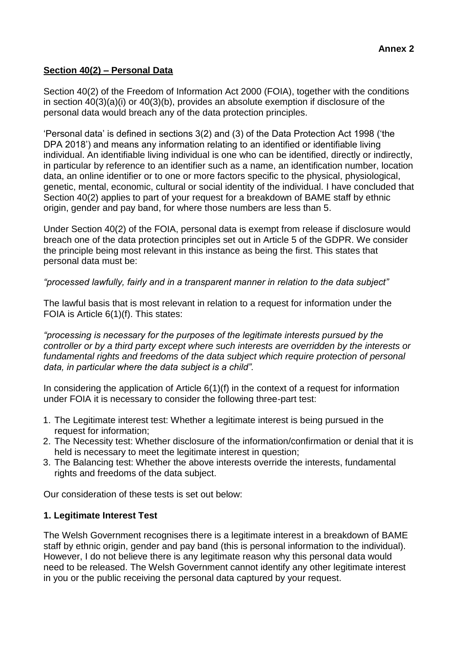## **Section 40(2) – Personal Data**

Section 40(2) of the Freedom of Information Act 2000 (FOIA), together with the conditions in section 40(3)(a)(i) or 40(3)(b), provides an absolute exemption if disclosure of the personal data would breach any of the data protection principles.

'Personal data' is defined in sections 3(2) and (3) of the Data Protection Act 1998 ('the DPA 2018') and means any information relating to an identified or identifiable living individual. An identifiable living individual is one who can be identified, directly or indirectly, in particular by reference to an identifier such as a name, an identification number, location data, an online identifier or to one or more factors specific to the physical, physiological, genetic, mental, economic, cultural or social identity of the individual. I have concluded that Section 40(2) applies to part of your request for a breakdown of BAME staff by ethnic origin, gender and pay band, for where those numbers are less than 5.

Under Section 40(2) of the FOIA, personal data is exempt from release if disclosure would breach one of the data protection principles set out in Article 5 of the GDPR. We consider the principle being most relevant in this instance as being the first. This states that personal data must be:

*"processed lawfully, fairly and in a transparent manner in relation to the data subject"*

The lawful basis that is most relevant in relation to a request for information under the FOIA is Article 6(1)(f). This states:

*"processing is necessary for the purposes of the legitimate interests pursued by the controller or by a third party except where such interests are overridden by the interests or fundamental rights and freedoms of the data subject which require protection of personal data, in particular where the data subject is a child".*

In considering the application of Article 6(1)(f) in the context of a request for information under FOIA it is necessary to consider the following three-part test:

- 1. The Legitimate interest test: Whether a legitimate interest is being pursued in the request for information;
- 2. The Necessity test: Whether disclosure of the information/confirmation or denial that it is held is necessary to meet the legitimate interest in question;
- 3. The Balancing test: Whether the above interests override the interests, fundamental rights and freedoms of the data subject.

Our consideration of these tests is set out below:

### **1. Legitimate Interest Test**

The Welsh Government recognises there is a legitimate interest in a breakdown of BAME staff by ethnic origin, gender and pay band (this is personal information to the individual). However, I do not believe there is any legitimate reason why this personal data would need to be released. The Welsh Government cannot identify any other legitimate interest in you or the public receiving the personal data captured by your request.